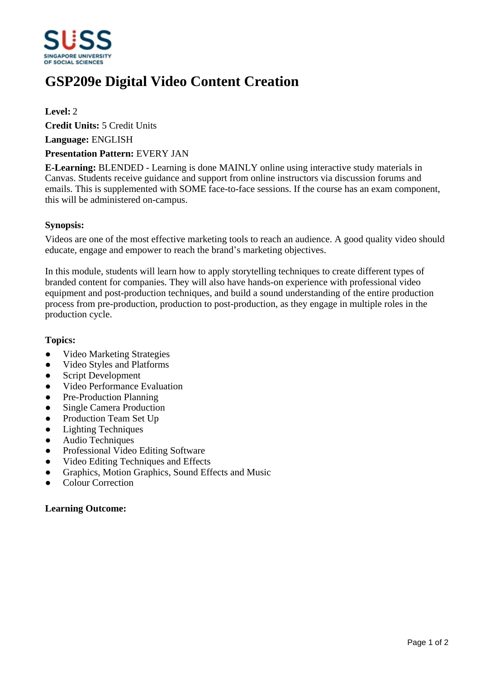

# **GSP209e Digital Video Content Creation**

## **Level:** 2

**Credit Units:** 5 Credit Units

**Language:** ENGLISH

#### **Presentation Pattern:** EVERY JAN

**E-Learning:** BLENDED - Learning is done MAINLY online using interactive study materials in Canvas. Students receive guidance and support from online instructors via discussion forums and emails. This is supplemented with SOME face-to-face sessions. If the course has an exam component, this will be administered on-campus.

### **Synopsis:**

Videos are one of the most effective marketing tools to reach an audience. A good quality video should educate, engage and empower to reach the brand's marketing objectives.

In this module, students will learn how to apply storytelling techniques to create different types of branded content for companies. They will also have hands-on experience with professional video equipment and post-production techniques, and build a sound understanding of the entire production process from pre-production, production to post-production, as they engage in multiple roles in the production cycle.

#### **Topics:**

- ƔVideo Marketing Strategies
- Video Styles and Platforms
- Script Development
- Video Performance Evaluation
- Pre-Production Planning
- Single Camera Production
- Production Team Set Up
- Lighting Techniques
- Audio Techniques
- Professional Video Editing Software
- Video Editing Techniques and Effects
- Graphics, Motion Graphics, Sound Effects and Music
- Colour Correction

# **Learning Outcome:**